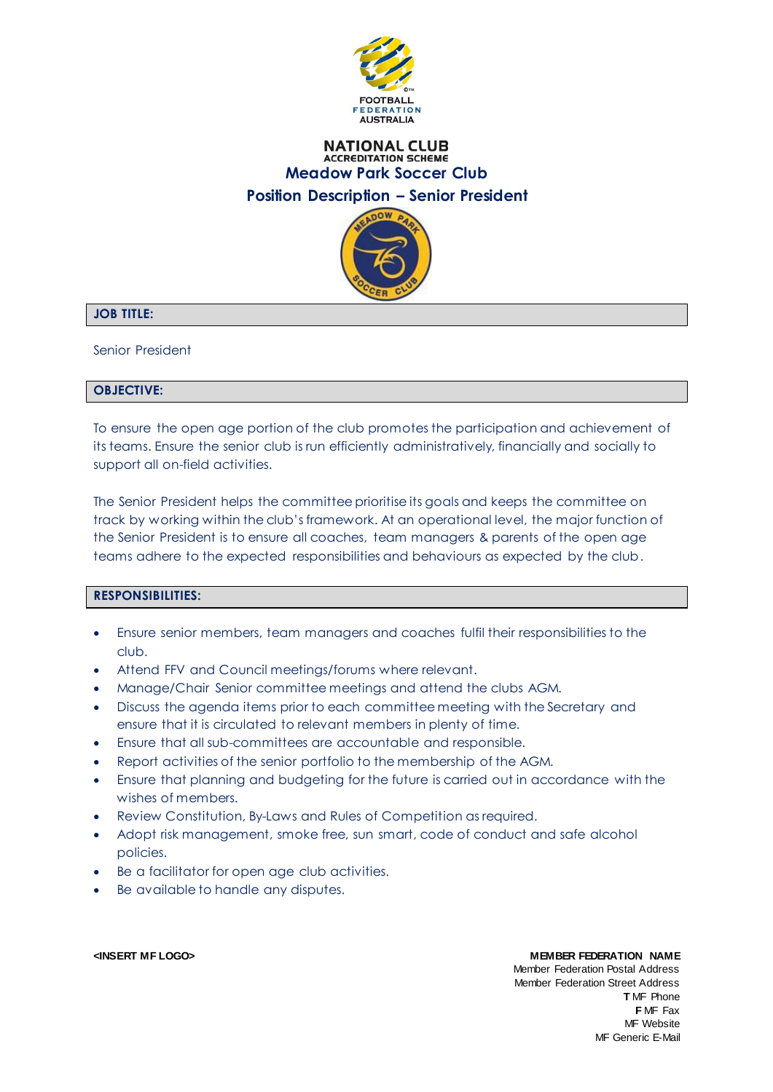

# **NATIONAL CLUB ACCREDITATION SCHEME Meadow Park Soccer Club Position Description – Senior President**



# **JOB TITLE:**

Senior President

## **OBJECTIVE:**

To ensure the open age portion of the club promotes the participation and achievement of its teams. Ensure the senior club is run efficiently administratively, financially and socially to support all on-field activities.

The Senior President helps the committee prioritise its goals and keeps the committee on track by working within the club's framework. At an operational level, the major function of the Senior President is to ensure all coaches, team managers & parents of the open age teams adhere to the expected responsibilities and behaviours as expected by the club.

# **RESPONSIBILITIES:**

- Ensure senior members, team managers and coaches fulfil their responsibilities to the club.
- Attend FFV and Council meetings/forums where relevant.
- Manage/Chair Senior committee meetings and attend the clubs AGM.
- Discuss the agenda items prior to each committee meeting with the Secretary and ensure that it is circulated to relevant members in plenty of time.
- Ensure that all sub-committees are accountable and responsible.
- Report activities of the senior portfolio to the membership of the AGM.
- Ensure that planning and budgeting for the future is carried out in accordance with the wishes of members.
- Review Constitution, By-Laws and Rules of Competition as required.
- Adopt risk management, smoke free, sun smart, code of conduct and safe alcohol policies.
- Be a facilitator for open age club activities.
- Be available to handle any disputes.

### **<INSERT MF LOGO> MEMBER FEDERATION NAME**

Member Federation Postal Address Member Federation Street Address **T** MF Phone **F** MF Fax MF Website MF Generic E-Mail